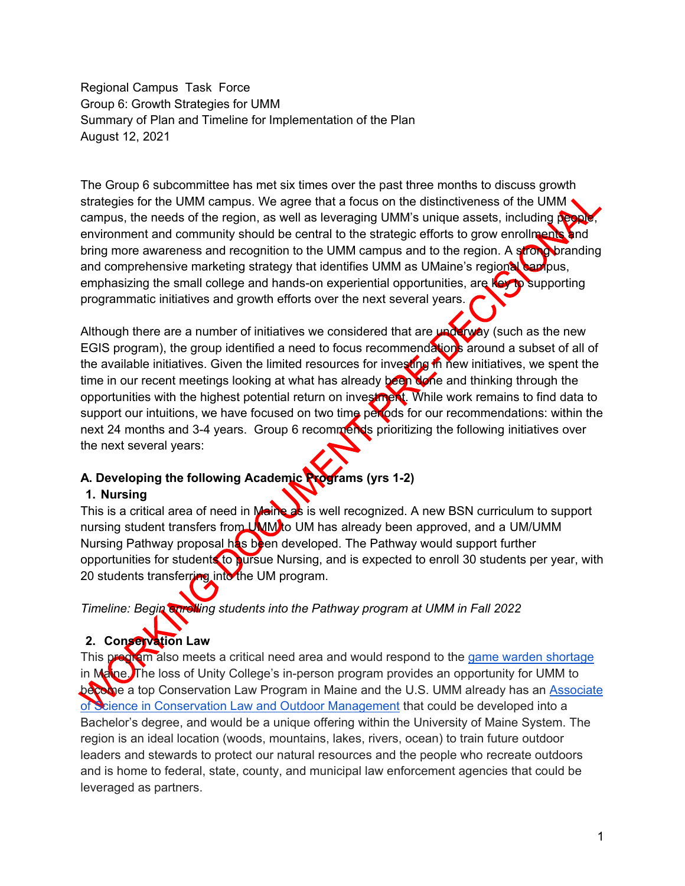Regional Campus Task Force Group 6: Growth Strategies for UMM Summary of Plan and Timeline for Implementation of the Plan August 12, 2021

The Group 6 subcommittee has met six times over the past three months to discuss growth strategies for the UMM campus. We agree that a focus on the distinctiveness of the UMM campus, the needs of the region, as well as leveraging UMM's unique assets, including people, environment and community should be central to the strategic efforts to grow enrollments and bring more awareness and recognition to the UMM campus and to the region. A strong branding and comprehensive marketing strategy that identifies UMM as UMaine's regional campus, emphasizing the small college and hands-on experiential opportunities, are key to supporting programmatic initiatives and growth efforts over the next several years.

Although there are a number of initiatives we considered that are underway (such as the new EGIS program), the group identified a need to focus recommendations around a subset of all of the available initiatives. Given the limited resources for investing in new initiatives, we spent the time in our recent meetings looking at what has already been None and thinking through the opportunities with the highest potential return on investment. While work remains to find data to support our intuitions, we have focused on two time periods for our recommendations: within the next 24 months and 3-4 years. Group 6 recommends prioritizing the following initiatives over the next several years:

## **A. Developing the following Academic Programs (yrs 1-2)**

## **1. Nursing**

This is a critical area of need in Maine as is well recognized. A new BSN curriculum to support nursing student transfers from UMM to UM has already been approved, and a UM/UMM Nursing Pathway proposal has been developed. The Pathway would support further opportunities for students to pursue Nursing, and is expected to enroll 30 students per year, with 20 students transferring into the UM program.

*Timeline: Begin enrolling students into the Pathway program at UMM in Fall 2022*

# **2. Conservation Law**

This program also meets a critical need area and would respond to the [game warden shortage](https://www.youtube.com/watch?v=lBU27V-xJgQ) in Manne. The loss of Unity College's in-person program provides an opportunity for UMM to become a top Conservation Law Program in Maine and the U.S. UMM already has an [Associate](https://machias.edu/academics/associate-programs/conservation-law-as/) [of Science in Conservation Law and Outdoor Management](https://machias.edu/academics/associate-programs/conservation-law-as/) that could be developed into a Bachelor's degree, and would be a unique offering within the University of Maine System. The region is an ideal location (woods, mountains, lakes, rivers, ocean) to train future outdoor leaders and stewards to protect our natural resources and the people who recreate outdoors and is home to federal, state, county, and municipal law enforcement agencies that could be leveraged as partners.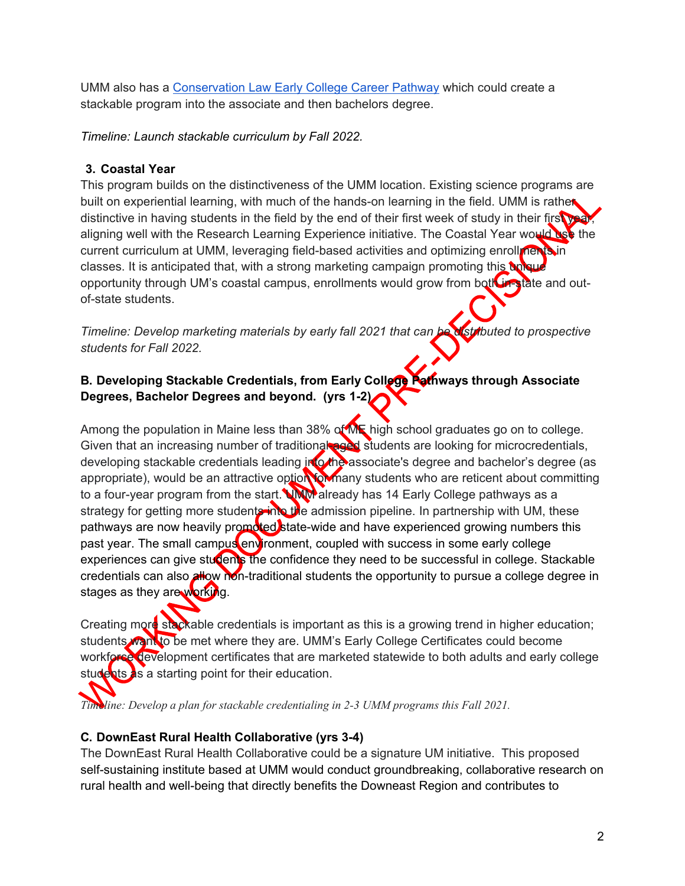UMM also has a [Conservation Law Early College Career Pathway](https://machias.edu/earlycollege/pathways/conservation-law/) which could create a stackable program into the associate and then bachelors degree.

*Timeline: Launch stackable curriculum by Fall 2022.*

#### **3. Coastal Year**

This program builds on the distinctiveness of the UMM location. Existing science programs are built on experiential learning, with much of the hands-on learning in the field. UMM is rather distinctive in having students in the field by the end of their first week of study in their first year, aligning well with the Research Learning Experience initiative. The Coastal Year would use the current curriculum at UMM, leveraging field-based activities and optimizing enrollments in classes. It is anticipated that, with a strong marketing campaign promoting this unique opportunity through UM's coastal campus, enrollments would grow from both in-state and outof-state students.

*Timeline: Develop marketing materials by early fall 2021 that can be distributed to prospective students for Fall 2022.*

#### **B. Developing Stackable Credentials, from Early College Pathways through Associate Degrees, Bachelor Degrees and beyond. (yrs 1-2)**

Among the population in Maine less than 38% of ME high school graduates go on to college. Given that an increasing number of traditional and students are looking for microcredentials, developing stackable credentials leading into the associate's degree and bachelor's degree (as appropriate), would be an attractive option for many students who are reticent about committing to a four-year program from the start. WWW already has 14 Early College pathways as a strategy for getting more students into the admission pipeline. In partnership with UM, these pathways are now heavily promoted state-wide and have experienced growing numbers this past year. The small campus environment, coupled with success in some early college experiences can give students the confidence they need to be successful in college. Stackable credentials can also allow non-traditional students the opportunity to pursue a college degree in stages as they are working.

Creating more stackable credentials is important as this is a growing trend in higher education; students want to be met where they are. UMM's Early College Certificates could become workforce development certificates that are marketed statewide to both adults and early college students as a starting point for their education.

*Timeline: Develop a plan for stackable credentialing in 2-3 UMM programs this Fall 2021.*

## **C. DownEast Rural Health Collaborative (yrs 3-4)**

The DownEast Rural Health Collaborative could be a signature UM initiative. This proposed self-sustaining institute based at UMM would conduct groundbreaking, collaborative research on rural health and well-being that directly benefits the Downeast Region and contributes to